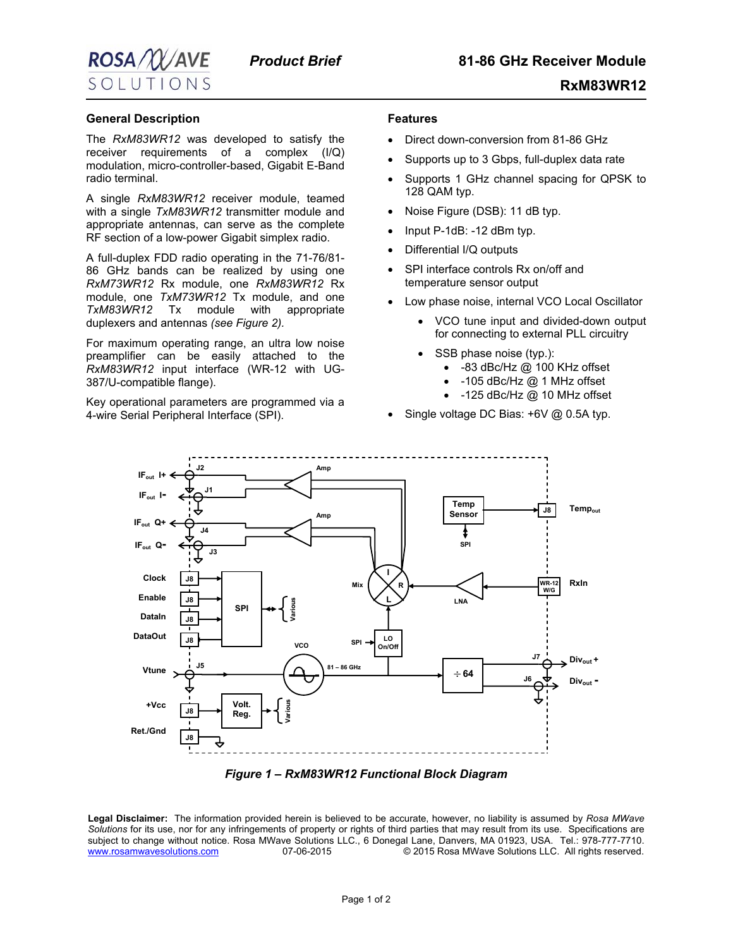

 **RxM83WR12**

## **General Description**

The *RxM83WR12* was developed to satisfy the receiver requirements of a complex (I/Q) modulation, micro-controller-based, Gigabit E-Band radio terminal.

A single *RxM83WR12* receiver module, teamed with a single *TxM83WR12* transmitter module and appropriate antennas, can serve as the complete RF section of a low-power Gigabit simplex radio.

A full-duplex FDD radio operating in the 71-76/81- 86 GHz bands can be realized by using one *RxM73WR12* Rx module, one *RxM83WR12* Rx module, one *TxM73WR12* Tx module, and one *TxM83WR12* Tx module with appropriate duplexers and antennas *(see Figure 2).* 

For maximum operating range, an ultra low noise preamplifier can be easily attached to the *RxM83WR12* input interface (WR-12 with UG-387/U-compatible flange).

Key operational parameters are programmed via a 4-wire Serial Peripheral Interface (SPI).

## **Features**

- Direct down-conversion from 81-86 GHz
- Supports up to 3 Gbps, full-duplex data rate
- Supports 1 GHz channel spacing for QPSK to 128 QAM typ.
- Noise Figure (DSB): 11 dB typ.
- Input P-1dB: -12 dBm typ.
- Differential I/Q outputs
- SPI interface controls Rx on/off and temperature sensor output
- Low phase noise, internal VCO Local Oscillator
	- VCO tune input and divided-down output for connecting to external PLL circuitry
	- SSB phase noise (typ.):
		- -83 dBc/Hz @ 100 KHz offset
		- -105 dBc/Hz @ 1 MHz offset
		- -125 dBc/Hz @ 10 MHz offset
- Single voltage DC Bias: +6V @ 0.5A typ.



*Figure 1 – RxM83WR12 Functional Block Diagram* 

**Legal Disclaimer:** The information provided herein is believed to be accurate, however, no liability is assumed by *Rosa MWave Solutions* for its use, nor for any infringements of property or rights of third parties that may result from its use. Specifications are subject to change without notice. Rosa MWave Solutions LLC., 6 Donegal Lane, Danvers, MA 01923, USA. Tel.: 978-777-7710. [www.rosamwavesolutions.com](http://www.rosamwavesolutions.com/) 07-06-2015 © 2015 Rosa MWave Solutions LLC. All rights reserved.